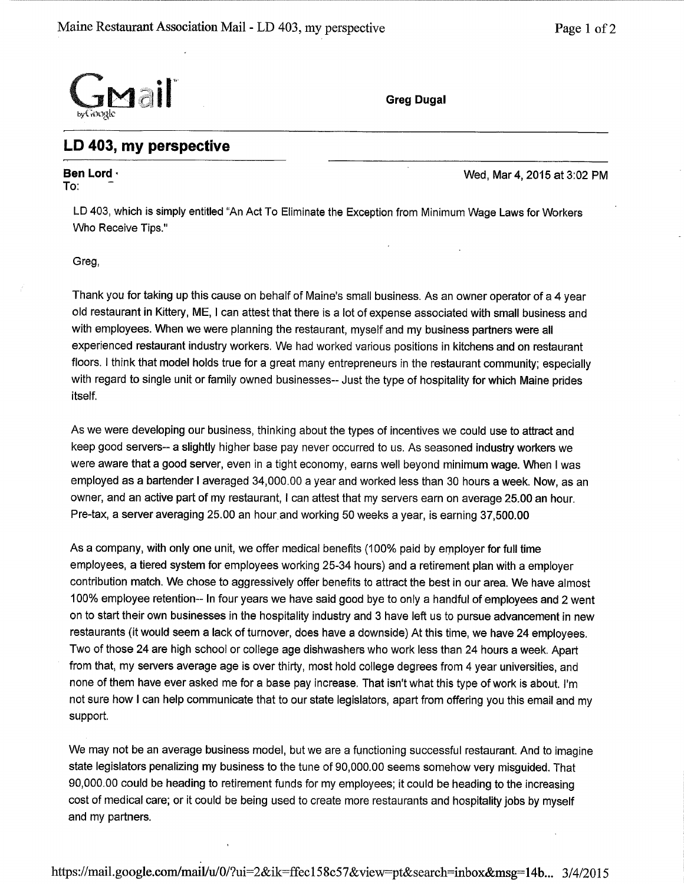

## LD 403, my perspective

## To: Ben Lord .

Wed, Mar 4, 2015 at 3:02 PM

LD 403, which is simply entitled "An Act To Eliminate the Exception from Minimum Wage Laws for Workers Who Receive Tips."

Greg,

Thank you for taking up this cause on behalf of Maine's small business. As an owner operator of a 4 year old restaurant in Kittery, ME, I can attest that there is a lot of expense associated with small business and with employees. When we were planning the restaurant, myself and my business partners were all experienced restaurant industry workers. We had worked various positions in kitchens and on restaurant floors. l think that model holds true for a great many entrepreneurs in the restaurant community; especially with regard to single unit or family owned businesses-- Just the type of hospitality for which Maine prides itself.

As we were developing our business, thinking about the types of incentives we could use to attract and keep good servers-- a slightly higher base pay never occurred to us. As seasoned industry workers we were aware that a good server, even in a tight economy, earns well beyond minimum wage. When I was employed as a bartender I averaged 34,000.00 a year and worked less than 30 hours a week. Now, as an owner, and an active part of my restaurant, I can attest that my servers earn on average 25.00 an hour. Pre-tax, a server averaging 25.00 an hour and working 50 weeks a year, is earning 37,500.00

As a company, with only one unit, we offer medical benefits (100% paid by employer for full time employees, a tiered system for employees working 25-34 hours) and a retirement plan with a employer contribution match. We chose to aggressively offer benefits to attract the best in our area. We have almost 100% employee retention-- ln four years we have said good bye to only a handful of employees and 2 went on to start their own businesses in the hospitality industry and 3 have left us to pursue advancement in new restaurants (it would seem a lack of turnover, does have a downside) At this time, we have 24 employees. Two of those 24 are high school or college age dishwashers who work less than 24 hours a week. Apart from that, my servers average age is over thirty, most hold college degrees from 4 year universities, and none of them have ever asked me for a base pay increase. That isn't what this type of work is about. I'm not sure how I can help communicate that to our state legislators, apart from offering you this email and my support.

We may not be an average business model, but we are a functioning successful restaurant. And to imagine state legislators penalizing my business to the tune of 90,000.00 seems somehow very misguided. That 90,000.00 could be heading to retirement funds for my employees; it could be heading to the increasing cost of medical care; or it could be being used to create more restaurants and hospitality jobs by myself and my partners.